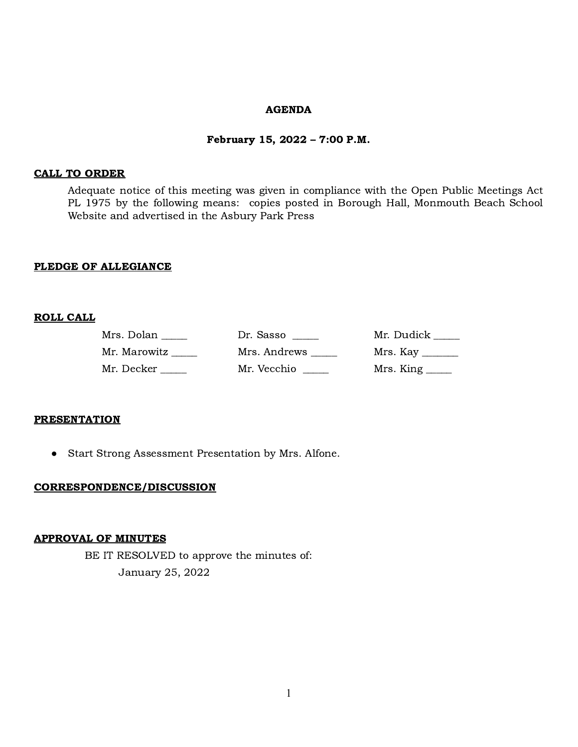#### AGENDA

#### February 15, 2022 – 7:00 P.M.

#### CALL TO ORDER

Adequate notice of this meeting was given in compliance with the Open Public Meetings Act PL 1975 by the following means: copies posted in Borough Hall, Monmouth Beach School Website and advertised in the Asbury Park Press

#### PLEDGE OF ALLEGIANCE

### ROLL CALL

| Mrs. Dolan   | Dr. Sasso    | Mr. Dudick _____                  |
|--------------|--------------|-----------------------------------|
| Mr. Marowitz | Mrs. Andrews |                                   |
| Mr. Decker   | Mr. Vecchio  | $Mrs.$ King $\_\_\_\_\_\_\_\_\_\$ |

#### **PRESENTATION**

● Start Strong Assessment Presentation by Mrs. Alfone.

#### CORRESPONDENCE/DISCUSSION

#### APPROVAL OF MINUTES

BE IT RESOLVED to approve the minutes of: January 25, 2022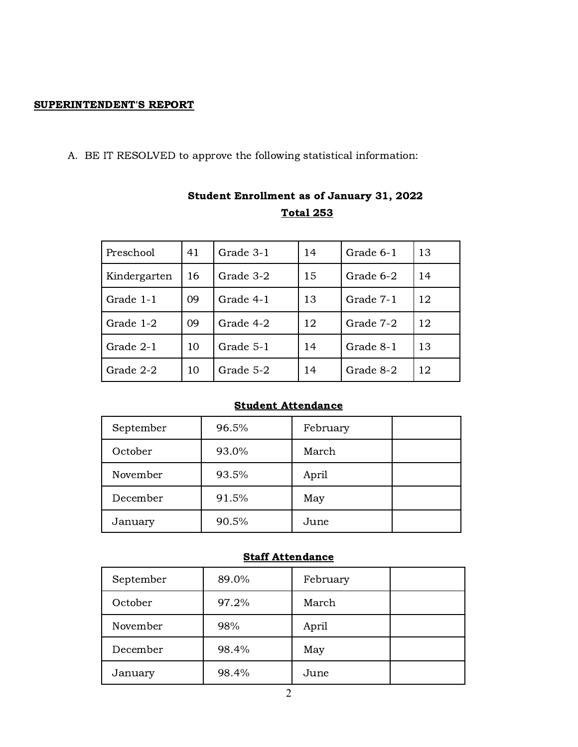# SUPERINTENDENT'S REPORT

A. BE IT RESOLVED to approve the following statistical information:

| Preschool    | 41 | Grade 3-1 | 14 | Grade 6-1 | 13 |
|--------------|----|-----------|----|-----------|----|
| Kindergarten | 16 | Grade 3-2 | 15 | Grade 6-2 | 14 |
| Grade 1-1    | 09 | Grade 4-1 | 13 | Grade 7-1 | 12 |
| Grade 1-2    | 09 | Grade 4-2 | 12 | Grade 7-2 | 12 |
| Grade 2-1    | 10 | Grade 5-1 | 14 | Grade 8-1 | 13 |
| Grade 2-2    | 10 | Grade 5-2 | 14 | Grade 8-2 | 12 |

# Student Enrollment as of January 31, 2022 Total 253

# Student Attendance

| September | 96.5% | February |  |
|-----------|-------|----------|--|
| October   | 93.0% | March    |  |
| November  | 93.5% | April    |  |
| December  | 91.5% | May      |  |
| January   | 90.5% | June     |  |

# **Staff Attendance**

| September | 89.0% | February |  |
|-----------|-------|----------|--|
| October   | 97.2% | March    |  |
| November  | 98%   | April    |  |
| December  | 98.4% | May      |  |
| January   | 98.4% | June     |  |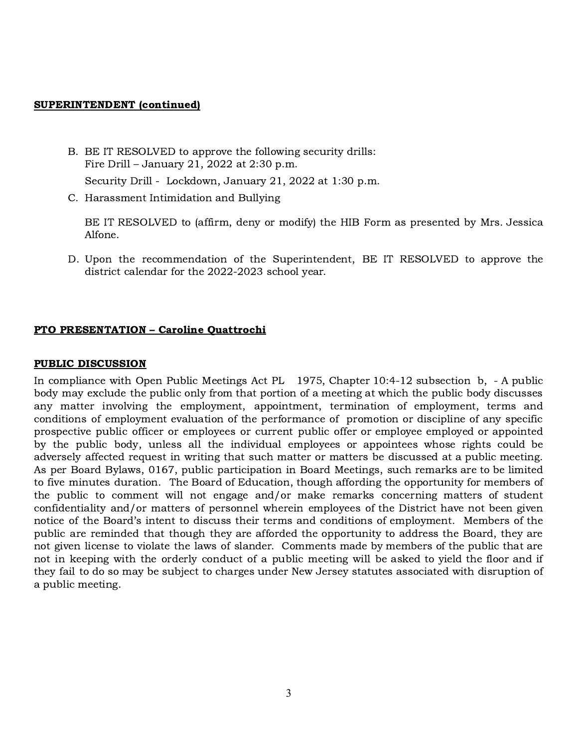#### SUPERINTENDENT (continued)

- B. BE IT RESOLVED to approve the following security drills: Fire Drill – January 21, 2022 at 2:30 p.m.
	- Security Drill Lockdown, January 21, 2022 at 1:30 p.m.
- C. Harassment Intimidation and Bullying

BE IT RESOLVED to (affirm, deny or modify) the HIB Form as presented by Mrs. Jessica Alfone.

D. Upon the recommendation of the Superintendent, BE IT RESOLVED to approve the district calendar for the 2022-2023 school year.

# PTO PRESENTATION – Caroline Quattrochi

### PUBLIC DISCUSSION

In compliance with Open Public Meetings Act PL 1975, Chapter 10:4-12 subsection b, - A public body may exclude the public only from that portion of a meeting at which the public body discusses any matter involving the employment, appointment, termination of employment, terms and conditions of employment evaluation of the performance of promotion or discipline of any specific prospective public officer or employees or current public offer or employee employed or appointed by the public body, unless all the individual employees or appointees whose rights could be adversely affected request in writing that such matter or matters be discussed at a public meeting. As per Board Bylaws, 0167, public participation in Board Meetings, such remarks are to be limited to five minutes duration. The Board of Education, though affording the opportunity for members of the public to comment will not engage and/or make remarks concerning matters of student confidentiality and/or matters of personnel wherein employees of the District have not been given notice of the Board's intent to discuss their terms and conditions of employment. Members of the public are reminded that though they are afforded the opportunity to address the Board, they are not given license to violate the laws of slander. Comments made by members of the public that are not in keeping with the orderly conduct of a public meeting will be asked to yield the floor and if they fail to do so may be subject to charges under New Jersey statutes associated with disruption of a public meeting.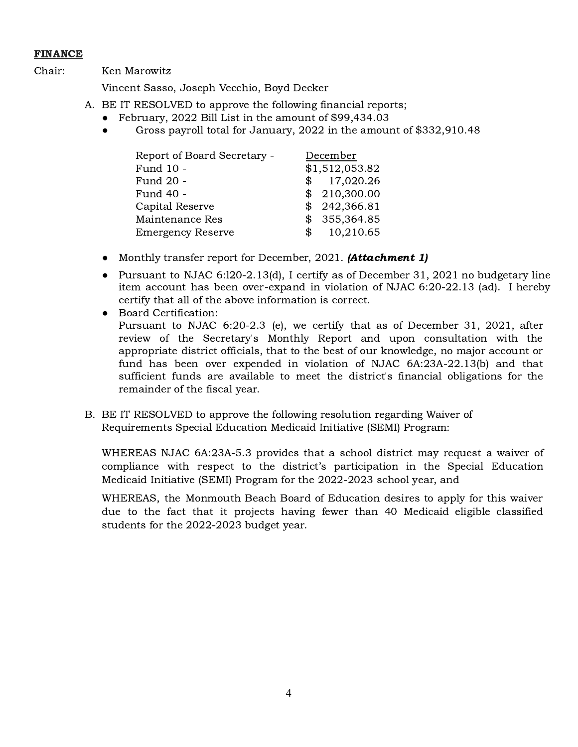# FINANCE

Chair: Ken Marowitz

Vincent Sasso, Joseph Vecchio, Boyd Decker

- A. BE IT RESOLVED to approve the following financial reports;
	- February, 2022 Bill List in the amount of \$99,434.03
	- Gross payroll total for January, 2022 in the amount of \$332,910.48

| Report of Board Secretary - |            | December       |
|-----------------------------|------------|----------------|
| Fund 10 -                   |            | \$1,512,053.82 |
| Fund 20 -                   |            | \$17,020.26    |
| Fund 40 -                   |            | \$210,300.00   |
| Capital Reserve             |            | \$242,366.81   |
| Maintenance Res             |            | \$355,364.85   |
| <b>Emergency Reserve</b>    | $^{\circ}$ | 10,210.65      |

- Monthly transfer report for December, 2021. (**Attachment 1**)
- Pursuant to NJAC 6:l20-2.13(d), I certify as of December 31, 2021 no budgetary line item account has been over-expand in violation of NJAC 6:20-22.13 (ad). I hereby certify that all of the above information is correct.
- Board Certification: Pursuant to NJAC 6:20-2.3 (e), we certify that as of December 31, 2021, after review of the Secretary's Monthly Report and upon consultation with the appropriate district officials, that to the best of our knowledge, no major account or fund has been over expended in violation of NJAC 6A:23A-22.13(b) and that sufficient funds are available to meet the district's financial obligations for the remainder of the fiscal year.
- B. BE IT RESOLVED to approve the following resolution regarding Waiver of Requirements Special Education Medicaid Initiative (SEMI) Program:

WHEREAS NJAC 6A:23A-5.3 provides that a school district may request a waiver of compliance with respect to the district's participation in the Special Education Medicaid Initiative (SEMI) Program for the 2022-2023 school year, and

WHEREAS, the Monmouth Beach Board of Education desires to apply for this waiver due to the fact that it projects having fewer than 40 Medicaid eligible classified students for the 2022-2023 budget year.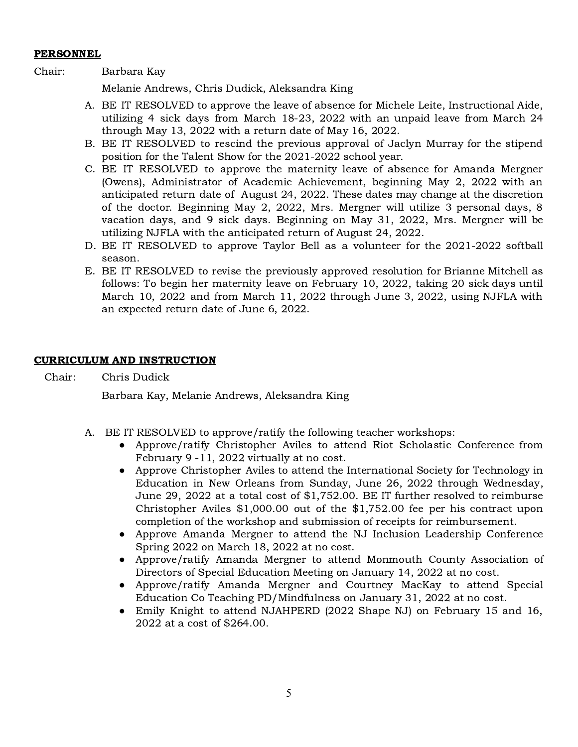### PERSONNEL

# Chair: Barbara Kay

Melanie Andrews, Chris Dudick, Aleksandra King

- A. BE IT RESOLVED to approve the leave of absence for Michele Leite, Instructional Aide, utilizing 4 sick days from March 18-23, 2022 with an unpaid leave from March 24 through May 13, 2022 with a return date of May 16, 2022.
- B. BE IT RESOLVED to rescind the previous approval of Jaclyn Murray for the stipend position for the Talent Show for the 2021-2022 school year.
- C. BE IT RESOLVED to approve the maternity leave of absence for Amanda Mergner (Owens), Administrator of Academic Achievement, beginning May 2, 2022 with an anticipated return date of August 24, 2022. These dates may change at the discretion of the doctor. Beginning May 2, 2022, Mrs. Mergner will utilize 3 personal days, 8 vacation days, and 9 sick days. Beginning on May 31, 2022, Mrs. Mergner will be utilizing NJFLA with the anticipated return of August 24, 2022.
- D. BE IT RESOLVED to approve Taylor Bell as a volunteer for the 2021-2022 softball season.
- E. BE IT RESOLVED to revise the previously approved resolution for Brianne Mitchell as follows: To begin her maternity leave on February 10, 2022, taking 20 sick days until March 10, 2022 and from March 11, 2022 through June 3, 2022, using NJFLA with an expected return date of June 6, 2022.

# CURRICULUM AND INSTRUCTION

Chair: Chris Dudick

Barbara Kay, Melanie Andrews, Aleksandra King

- A. BE IT RESOLVED to approve/ratify the following teacher workshops:
	- Approve/ratify Christopher Aviles to attend Riot Scholastic Conference from February 9 -11, 2022 virtually at no cost.
	- Approve Christopher Aviles to attend the International Society for Technology in Education in New Orleans from Sunday, June 26, 2022 through Wednesday, June 29, 2022 at a total cost of \$1,752.00. BE IT further resolved to reimburse Christopher Aviles \$1,000.00 out of the \$1,752.00 fee per his contract upon completion of the workshop and submission of receipts for reimbursement.
	- Approve Amanda Mergner to attend the NJ Inclusion Leadership Conference Spring 2022 on March 18, 2022 at no cost.
	- Approve/ratify Amanda Mergner to attend Monmouth County Association of Directors of Special Education Meeting on January 14, 2022 at no cost.
	- Approve/ratify Amanda Mergner and Courtney MacKay to attend Special Education Co Teaching PD/Mindfulness on January 31, 2022 at no cost.
	- Emily Knight to attend NJAHPERD (2022 Shape NJ) on February 15 and 16, 2022 at a cost of \$264.00.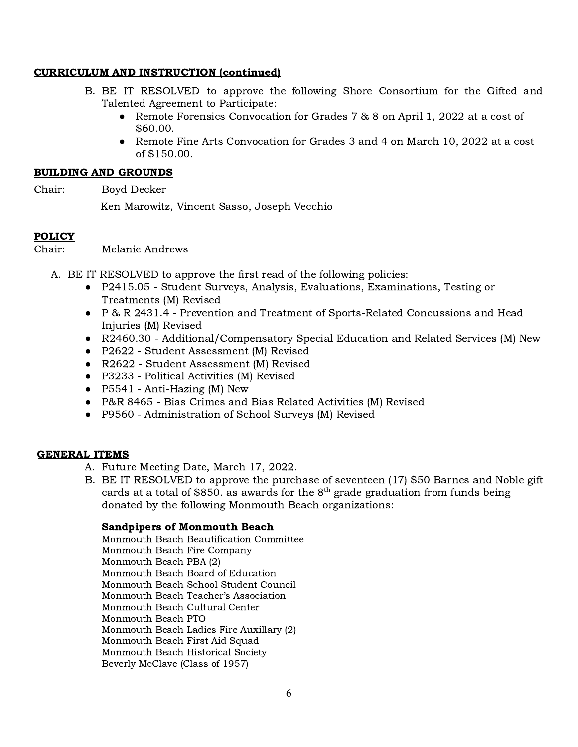# CURRICULUM AND INSTRUCTION (continued)

- B. BE IT RESOLVED to approve the following Shore Consortium for the Gifted and Talented Agreement to Participate:
	- Remote Forensics Convocation for Grades 7 & 8 on April 1, 2022 at a cost of \$60.00.
	- Remote Fine Arts Convocation for Grades 3 and 4 on March 10, 2022 at a cost of \$150.00.

### BUILDING AND GROUNDS

Chair: Boyd Decker

Ken Marowitz, Vincent Sasso, Joseph Vecchio

# POLICY

Chair: Melanie Andrews

- A. BE IT RESOLVED to approve the first read of the following policies:
	- P2415.05 Student Surveys, Analysis, Evaluations, Examinations, Testing or Treatments (M) Revised
	- P & R 2431.4 Prevention and Treatment of Sports-Related Concussions and Head Injuries (M) Revised
	- R2460.30 Additional/Compensatory Special Education and Related Services (M) New
	- P2622 Student Assessment (M) Revised
	- R2622 Student Assessment (M) Revised
	- P3233 Political Activities (M) Revised
	- P5541 Anti-Hazing (M) New
	- P&R 8465 Bias Crimes and Bias Related Activities (M) Revised
	- P9560 Administration of School Surveys (M) Revised

# GENERAL ITEMS

- A. Future Meeting Date, March 17, 2022.
- B. BE IT RESOLVED to approve the purchase of seventeen (17) \$50 Barnes and Noble gift cards at a total of \$850, as awards for the  $8^{\text{th}}$  grade graduation from funds being donated by the following Monmouth Beach organizations:

# Sandpipers of Monmouth Beach

Monmouth Beach Beautification Committee Monmouth Beach Fire Company Monmouth Beach PBA (2) Monmouth Beach Board of Education Monmouth Beach School Student Council Monmouth Beach Teacher's Association Monmouth Beach Cultural Center Monmouth Beach PTO Monmouth Beach Ladies Fire Auxillary (2) Monmouth Beach First Aid Squad Monmouth Beach Historical Society Beverly McClave (Class of 1957)